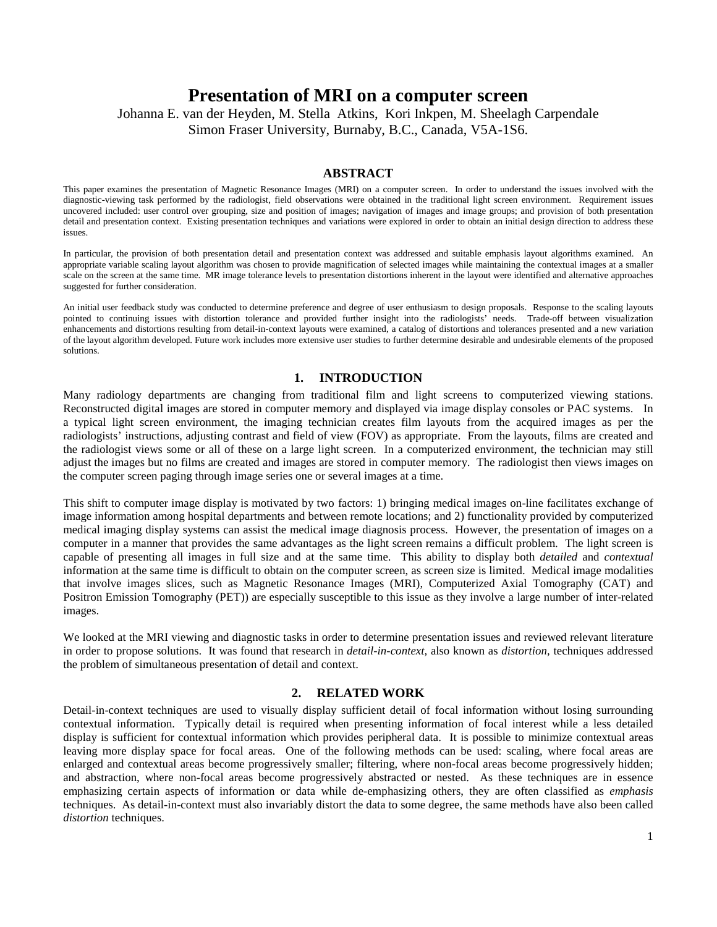# **Presentation of MRI on a computer screen**

Johanna E. van der Heyden, M. Stella Atkins, Kori Inkpen, M. Sheelagh Carpendale Simon Fraser University, Burnaby, B.C., Canada, V5A-1S6.

# **ABSTRACT**

This paper examines the presentation of Magnetic Resonance Images (MRI) on a computer screen. In order to understand the issues involved with the diagnostic-viewing task performed by the radiologist, field observations were obtained in the traditional light screen environment. Requirement issues uncovered included: user control over grouping, size and position of images; navigation of images and image groups; and provision of both presentation detail and presentation context. Existing presentation techniques and variations were explored in order to obtain an initial design direction to address these issues.

In particular, the provision of both presentation detail and presentation context was addressed and suitable emphasis layout algorithms examined. An appropriate variable scaling layout algorithm was chosen to provide magnification of selected images while maintaining the contextual images at a smaller scale on the screen at the same time. MR image tolerance levels to presentation distortions inherent in the layout were identified and alternative approaches suggested for further consideration.

An initial user feedback study was conducted to determine preference and degree of user enthusiasm to design proposals. Response to the scaling layouts pointed to continuing issues with distortion tolerance and provided further insight into the radiologists' needs. Trade-off between visualization enhancements and distortions resulting from detail-in-context layouts were examined, a catalog of distortions and tolerances presented and a new variation of the layout algorithm developed. Future work includes more extensive user studies to further determine desirable and undesirable elements of the proposed solutions.

### **1. INTRODUCTION**

Many radiology departments are changing from traditional film and light screens to computerized viewing stations. Reconstructed digital images are stored in computer memory and displayed via image display consoles or PAC systems. In a typical light screen environment, the imaging technician creates film layouts from the acquired images as per the radiologists' instructions, adjusting contrast and field of view (FOV) as appropriate. From the layouts, films are created and the radiologist views some or all of these on a large light screen. In a computerized environment, the technician may still adjust the images but no films are created and images are stored in computer memory. The radiologist then views images on the computer screen paging through image series one or several images at a time.

This shift to computer image display is motivated by two factors: 1) bringing medical images on-line facilitates exchange of image information among hospital departments and between remote locations; and 2) functionality provided by computerized medical imaging display systems can assist the medical image diagnosis process. However, the presentation of images on a computer in a manner that provides the same advantages as the light screen remains a difficult problem. The light screen is capable of presenting all images in full size and at the same time. This ability to display both *detailed* and *contextual* information at the same time is difficult to obtain on the computer screen, as screen size is limited. Medical image modalities that involve images slices, such as Magnetic Resonance Images (MRI), Computerized Axial Tomography (CAT) and Positron Emission Tomography (PET)) are especially susceptible to this issue as they involve a large number of inter-related images.

We looked at the MRI viewing and diagnostic tasks in order to determine presentation issues and reviewed relevant literature in order to propose solutions. It was found that research in *detail-in-context,* also known as *distortion,* techniques addressed the problem of simultaneous presentation of detail and context.

### **2. RELATED WORK**

Detail-in-context techniques are used to visually display sufficient detail of focal information without losing surrounding contextual information. Typically detail is required when presenting information of focal interest while a less detailed display is sufficient for contextual information which provides peripheral data. It is possible to minimize contextual areas leaving more display space for focal areas. One of the following methods can be used: scaling, where focal areas are enlarged and contextual areas become progressively smaller; filtering, where non-focal areas become progressively hidden; and abstraction, where non-focal areas become progressively abstracted or nested. As these techniques are in essence emphasizing certain aspects of information or data while de-emphasizing others, they are often classified as *emphasis* techniques. As detail-in-context must also invariably distort the data to some degree, the same methods have also been called *distortion* techniques.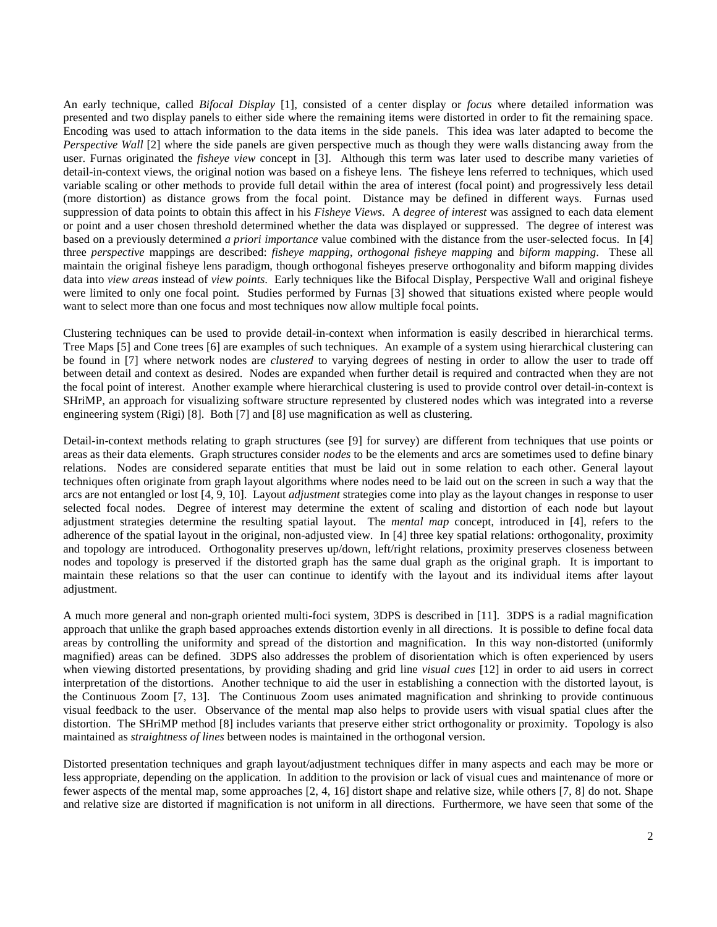An early technique, called *Bifocal Display* [1], consisted of a center display or *focus* where detailed information was presented and two display panels to either side where the remaining items were distorted in order to fit the remaining space. Encoding was used to attach information to the data items in the side panels. This idea was later adapted to become the *Perspective Wall* [2] where the side panels are given perspective much as though they were walls distancing away from the user. Furnas originated the *fisheye view* concept in [3]. Although this term was later used to describe many varieties of detail-in-context views, the original notion was based on a fisheye lens. The fisheye lens referred to techniques, which used variable scaling or other methods to provide full detail within the area of interest (focal point) and progressively less detail (more distortion) as distance grows from the focal point. Distance may be defined in different ways. Furnas used suppression of data points to obtain this affect in his *Fisheye Views*. A *degree of interest* was assigned to each data element or point and a user chosen threshold determined whether the data was displayed or suppressed. The degree of interest was based on a previously determined *a priori importance* value combined with the distance from the user-selected focus. In [4] three *perspective* mappings are described: *fisheye mapping*, *orthogonal fisheye mapping* and *biform mapping*. These all maintain the original fisheye lens paradigm, though orthogonal fisheyes preserve orthogonality and biform mapping divides data into *view areas* instead of *view points*. Early techniques like the Bifocal Display, Perspective Wall and original fisheye were limited to only one focal point. Studies performed by Furnas [3] showed that situations existed where people would want to select more than one focus and most techniques now allow multiple focal points.

Clustering techniques can be used to provide detail-in-context when information is easily described in hierarchical terms. Tree Maps [5] and Cone trees [6] are examples of such techniques. An example of a system using hierarchical clustering can be found in [7] where network nodes are *clustered* to varying degrees of nesting in order to allow the user to trade off between detail and context as desired. Nodes are expanded when further detail is required and contracted when they are not the focal point of interest. Another example where hierarchical clustering is used to provide control over detail-in-context is SHriMP, an approach for visualizing software structure represented by clustered nodes which was integrated into a reverse engineering system (Rigi) [8]. Both [7] and [8] use magnification as well as clustering.

Detail-in-context methods relating to graph structures (see [9] for survey) are different from techniques that use points or areas as their data elements. Graph structures consider *nodes* to be the elements and arcs are sometimes used to define binary relations. Nodes are considered separate entities that must be laid out in some relation to each other. General layout techniques often originate from graph layout algorithms where nodes need to be laid out on the screen in such a way that the arcs are not entangled or lost [4, 9, 10]. Layout *adjustment* strategies come into play as the layout changes in response to user selected focal nodes. Degree of interest may determine the extent of scaling and distortion of each node but layout adjustment strategies determine the resulting spatial layout. The *mental map* concept, introduced in [4], refers to the adherence of the spatial layout in the original, non-adjusted view. In [4] three key spatial relations: orthogonality, proximity and topology are introduced. Orthogonality preserves up/down, left/right relations, proximity preserves closeness between nodes and topology is preserved if the distorted graph has the same dual graph as the original graph. It is important to maintain these relations so that the user can continue to identify with the layout and its individual items after layout adjustment.

A much more general and non-graph oriented multi-foci system, 3DPS is described in [11]. 3DPS is a radial magnification approach that unlike the graph based approaches extends distortion evenly in all directions. It is possible to define focal data areas by controlling the uniformity and spread of the distortion and magnification. In this way non-distorted (uniformly magnified) areas can be defined. 3DPS also addresses the problem of disorientation which is often experienced by users when viewing distorted presentations, by providing shading and grid line *visual cues* [12] in order to aid users in correct interpretation of the distortions. Another technique to aid the user in establishing a connection with the distorted layout, is the Continuous Zoom [7, 13]. The Continuous Zoom uses animated magnification and shrinking to provide continuous visual feedback to the user. Observance of the mental map also helps to provide users with visual spatial clues after the distortion. The SHriMP method [8] includes variants that preserve either strict orthogonality or proximity. Topology is also maintained as *straightness of lines* between nodes is maintained in the orthogonal version.

Distorted presentation techniques and graph layout/adjustment techniques differ in many aspects and each may be more or less appropriate, depending on the application. In addition to the provision or lack of visual cues and maintenance of more or fewer aspects of the mental map, some approaches [2, 4, 16] distort shape and relative size, while others [7, 8] do not. Shape and relative size are distorted if magnification is not uniform in all directions. Furthermore, we have seen that some of the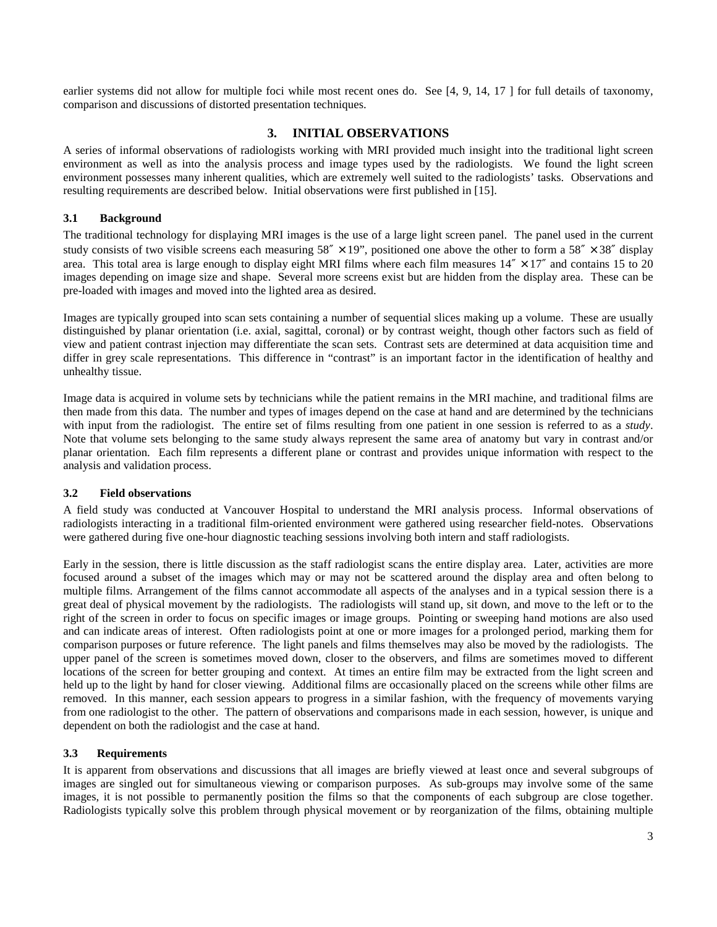earlier systems did not allow for multiple foci while most recent ones do. See [4, 9, 14, 17] for full details of taxonomy, comparison and discussions of distorted presentation techniques.

# **3. INITIAL OBSERVATIONS**

A series of informal observations of radiologists working with MRI provided much insight into the traditional light screen environment as well as into the analysis process and image types used by the radiologists. We found the light screen environment possesses many inherent qualities, which are extremely well suited to the radiologists' tasks. Observations and resulting requirements are described below. Initial observations were first published in [15].

### **3.1 Background**

The traditional technology for displaying MRI images is the use of a large light screen panel. The panel used in the current study consists of two visible screens each measuring  $58'' \times 19$ ", positioned one above the other to form a  $58'' \times 38''$  display area. This total area is large enough to display eight MRI films where each film measures  $14'' \times 17''$  and contains 15 to 20 images depending on image size and shape. Several more screens exist but are hidden from the display area. These can be pre-loaded with images and moved into the lighted area as desired.

Images are typically grouped into scan sets containing a number of sequential slices making up a volume. These are usually distinguished by planar orientation (i.e. axial, sagittal, coronal) or by contrast weight, though other factors such as field of view and patient contrast injection may differentiate the scan sets. Contrast sets are determined at data acquisition time and differ in grey scale representations. This difference in "contrast" is an important factor in the identification of healthy and unhealthy tissue.

Image data is acquired in volume sets by technicians while the patient remains in the MRI machine, and traditional films are then made from this data. The number and types of images depend on the case at hand and are determined by the technicians with input from the radiologist. The entire set of films resulting from one patient in one session is referred to as a *study*. Note that volume sets belonging to the same study always represent the same area of anatomy but vary in contrast and/or planar orientation. Each film represents a different plane or contrast and provides unique information with respect to the analysis and validation process.

### **3.2 Field observations**

A field study was conducted at Vancouver Hospital to understand the MRI analysis process. Informal observations of radiologists interacting in a traditional film-oriented environment were gathered using researcher field-notes. Observations were gathered during five one-hour diagnostic teaching sessions involving both intern and staff radiologists.

Early in the session, there is little discussion as the staff radiologist scans the entire display area. Later, activities are more focused around a subset of the images which may or may not be scattered around the display area and often belong to multiple films. Arrangement of the films cannot accommodate all aspects of the analyses and in a typical session there is a great deal of physical movement by the radiologists. The radiologists will stand up, sit down, and move to the left or to the right of the screen in order to focus on specific images or image groups. Pointing or sweeping hand motions are also used and can indicate areas of interest. Often radiologists point at one or more images for a prolonged period, marking them for comparison purposes or future reference. The light panels and films themselves may also be moved by the radiologists. The upper panel of the screen is sometimes moved down, closer to the observers, and films are sometimes moved to different locations of the screen for better grouping and context. At times an entire film may be extracted from the light screen and held up to the light by hand for closer viewing. Additional films are occasionally placed on the screens while other films are removed. In this manner, each session appears to progress in a similar fashion, with the frequency of movements varying from one radiologist to the other. The pattern of observations and comparisons made in each session, however, is unique and dependent on both the radiologist and the case at hand.

# **3.3 Requirements**

It is apparent from observations and discussions that all images are briefly viewed at least once and several subgroups of images are singled out for simultaneous viewing or comparison purposes. As sub-groups may involve some of the same images, it is not possible to permanently position the films so that the components of each subgroup are close together. Radiologists typically solve this problem through physical movement or by reorganization of the films, obtaining multiple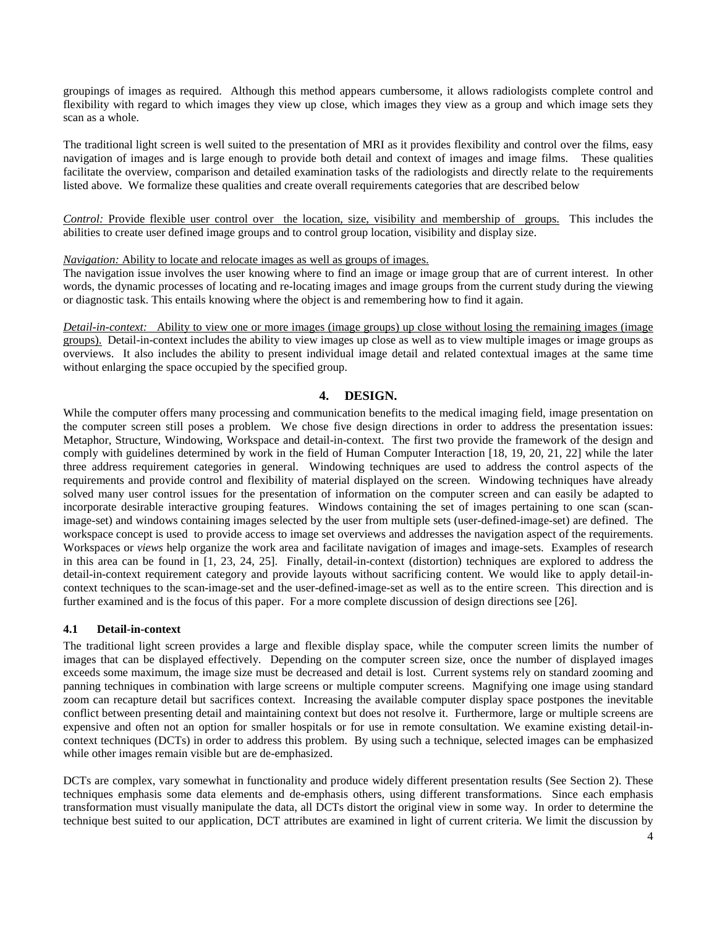groupings of images as required. Although this method appears cumbersome, it allows radiologists complete control and flexibility with regard to which images they view up close, which images they view as a group and which image sets they scan as a whole.

The traditional light screen is well suited to the presentation of MRI as it provides flexibility and control over the films, easy navigation of images and is large enough to provide both detail and context of images and image films. These qualities facilitate the overview, comparison and detailed examination tasks of the radiologists and directly relate to the requirements listed above. We formalize these qualities and create overall requirements categories that are described below

*Control:* Provide flexible user control over the location, size, visibility and membership of groups. This includes the abilities to create user defined image groups and to control group location, visibility and display size.

### *Navigation:* Ability to locate and relocate images as well as groups of images.

The navigation issue involves the user knowing where to find an image or image group that are of current interest. In other words, the dynamic processes of locating and re-locating images and image groups from the current study during the viewing or diagnostic task. This entails knowing where the object is and remembering how to find it again.

*Detail-in-context:* Ability to view one or more images (image groups) up close without losing the remaining images (image groups). Detail-in-context includes the ability to view images up close as well as to view multiple images or image groups as overviews. It also includes the ability to present individual image detail and related contextual images at the same time without enlarging the space occupied by the specified group.

### **4. DESIGN.**

While the computer offers many processing and communication benefits to the medical imaging field, image presentation on the computer screen still poses a problem. We chose five design directions in order to address the presentation issues: Metaphor, Structure, Windowing, Workspace and detail-in-context. The first two provide the framework of the design and comply with guidelines determined by work in the field of Human Computer Interaction [18, 19, 20, 21, 22] while the later three address requirement categories in general. Windowing techniques are used to address the control aspects of the requirements and provide control and flexibility of material displayed on the screen. Windowing techniques have already solved many user control issues for the presentation of information on the computer screen and can easily be adapted to incorporate desirable interactive grouping features. Windows containing the set of images pertaining to one scan (scanimage-set) and windows containing images selected by the user from multiple sets (user-defined-image-set) are defined. The workspace concept is used to provide access to image set overviews and addresses the navigation aspect of the requirements. Workspaces or *views* help organize the work area and facilitate navigation of images and image-sets. Examples of research in this area can be found in [1, 23, 24, 25]. Finally, detail-in-context (distortion) techniques are explored to address the detail-in-context requirement category and provide layouts without sacrificing content. We would like to apply detail-incontext techniques to the scan-image-set and the user-defined-image-set as well as to the entire screen. This direction and is further examined and is the focus of this paper. For a more complete discussion of design directions see [26].

### **4.1 Detail-in-context**

The traditional light screen provides a large and flexible display space, while the computer screen limits the number of images that can be displayed effectively. Depending on the computer screen size, once the number of displayed images exceeds some maximum, the image size must be decreased and detail is lost. Current systems rely on standard zooming and panning techniques in combination with large screens or multiple computer screens. Magnifying one image using standard zoom can recapture detail but sacrifices context. Increasing the available computer display space postpones the inevitable conflict between presenting detail and maintaining context but does not resolve it. Furthermore, large or multiple screens are expensive and often not an option for smaller hospitals or for use in remote consultation. We examine existing detail-incontext techniques (DCTs) in order to address this problem. By using such a technique, selected images can be emphasized while other images remain visible but are de-emphasized.

DCTs are complex, vary somewhat in functionality and produce widely different presentation results (See Section 2). These techniques emphasis some data elements and de-emphasis others, using different transformations. Since each emphasis transformation must visually manipulate the data, all DCTs distort the original view in some way. In order to determine the technique best suited to our application, DCT attributes are examined in light of current criteria. We limit the discussion by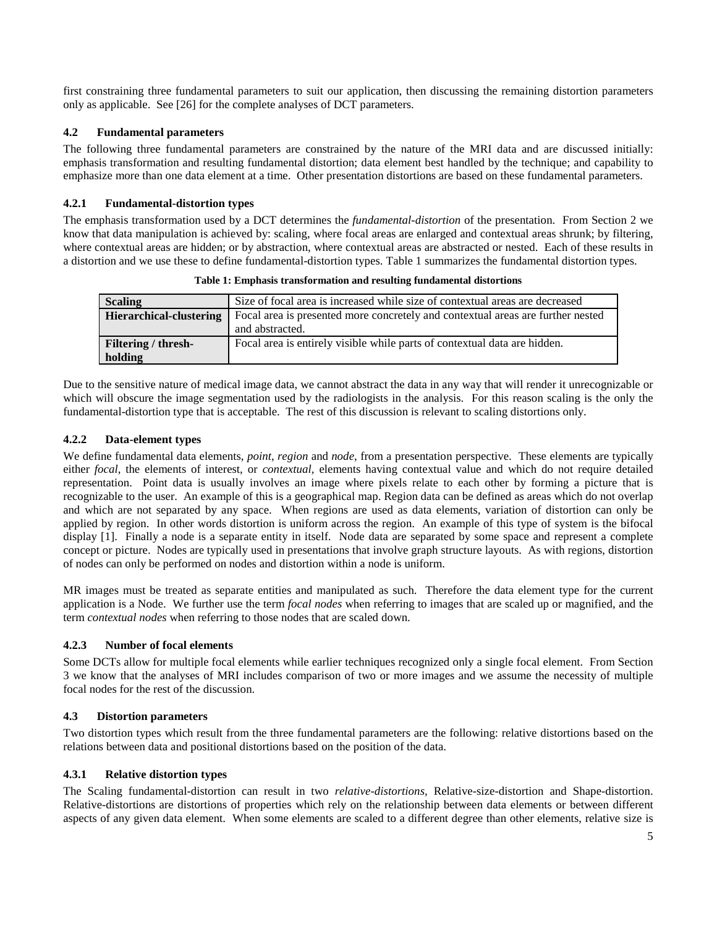first constraining three fundamental parameters to suit our application, then discussing the remaining distortion parameters only as applicable. See [26] for the complete analyses of DCT parameters.

### **4.2 Fundamental parameters**

The following three fundamental parameters are constrained by the nature of the MRI data and are discussed initially: emphasis transformation and resulting fundamental distortion; data element best handled by the technique; and capability to emphasize more than one data element at a time. Other presentation distortions are based on these fundamental parameters.

### **4.2.1 Fundamental-distortion types**

The emphasis transformation used by a DCT determines the *fundamental-distortion* of the presentation. From Section 2 we know that data manipulation is achieved by: scaling, where focal areas are enlarged and contextual areas shrunk; by filtering, where contextual areas are hidden; or by abstraction, where contextual areas are abstracted or nested. Each of these results in a distortion and we use these to define fundamental-distortion types. Table 1 summarizes the fundamental distortion types.

| <b>Scaling</b>             | Size of focal area is increased while size of contextual areas are decreased    |  |  |
|----------------------------|---------------------------------------------------------------------------------|--|--|
| Hierarchical-clustering    | Focal area is presented more concretely and contextual areas are further nested |  |  |
|                            | and abstracted.                                                                 |  |  |
| <b>Filtering / thresh-</b> | Focal area is entirely visible while parts of contextual data are hidden.       |  |  |
| holding                    |                                                                                 |  |  |

**Table 1: Emphasis transformation and resulting fundamental distortions**

Due to the sensitive nature of medical image data, we cannot abstract the data in any way that will render it unrecognizable or which will obscure the image segmentation used by the radiologists in the analysis. For this reason scaling is the only the fundamental-distortion type that is acceptable. The rest of this discussion is relevant to scaling distortions only.

### **4.2.2 Data-element types**

We define fundamental data elements, *point*, *region* and *node*, from a presentation perspective. These elements are typically either *focal*, the elements of interest, or *contextual,* elements having contextual value and which do not require detailed representation. Point data is usually involves an image where pixels relate to each other by forming a picture that is recognizable to the user. An example of this is a geographical map. Region data can be defined as areas which do not overlap and which are not separated by any space. When regions are used as data elements, variation of distortion can only be applied by region. In other words distortion is uniform across the region. An example of this type of system is the bifocal display [1]. Finally a node is a separate entity in itself. Node data are separated by some space and represent a complete concept or picture. Nodes are typically used in presentations that involve graph structure layouts. As with regions, distortion of nodes can only be performed on nodes and distortion within a node is uniform.

MR images must be treated as separate entities and manipulated as such. Therefore the data element type for the current application is a Node. We further use the term *focal nodes* when referring to images that are scaled up or magnified, and the term *contextual nodes* when referring to those nodes that are scaled down.

### **4.2.3 Number of focal elements**

Some DCTs allow for multiple focal elements while earlier techniques recognized only a single focal element. From Section 3 we know that the analyses of MRI includes comparison of two or more images and we assume the necessity of multiple focal nodes for the rest of the discussion.

### **4.3 Distortion parameters**

Two distortion types which result from the three fundamental parameters are the following: relative distortions based on the relations between data and positional distortions based on the position of the data.

### **4.3.1 Relative distortion types**

The Scaling fundamental-distortion can result in two *relative-distortions,* Relative-size-distortion and Shape-distortion. Relative-distortions are distortions of properties which rely on the relationship between data elements or between different aspects of any given data element. When some elements are scaled to a different degree than other elements, relative size is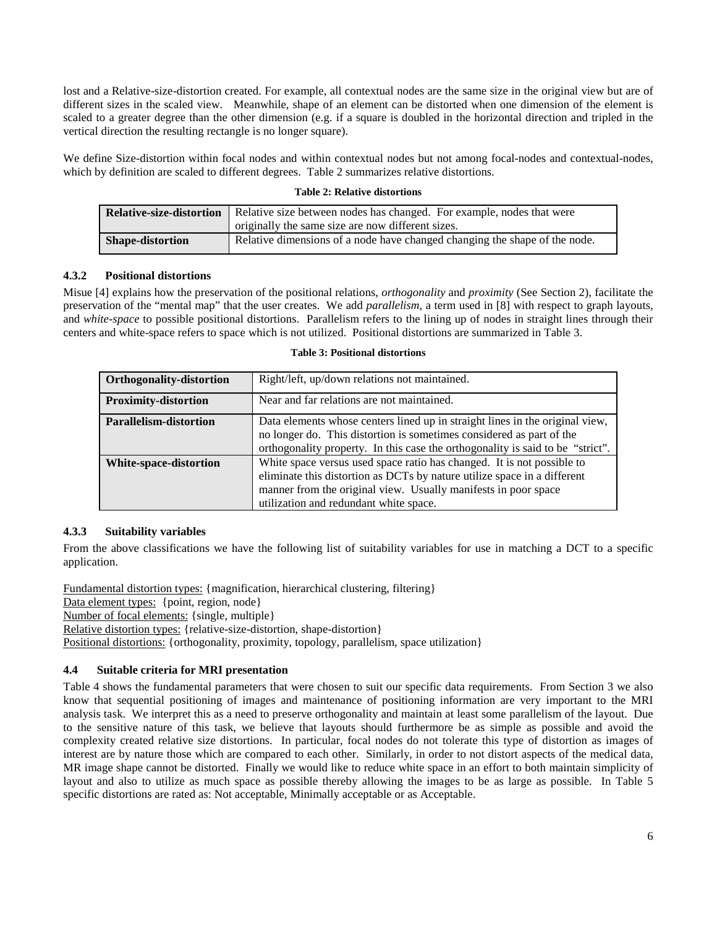lost and a Relative-size-distortion created. For example, all contextual nodes are the same size in the original view but are of different sizes in the scaled view. Meanwhile, shape of an element can be distorted when one dimension of the element is scaled to a greater degree than the other dimension (e.g. if a square is doubled in the horizontal direction and tripled in the vertical direction the resulting rectangle is no longer square).

We define Size-distortion within focal nodes and within contextual nodes but not among focal-nodes and contextual-nodes, which by definition are scaled to different degrees. Table 2 summarizes relative distortions.

### **Table 2: Relative distortions**

| Relative-size-distortion | Relative size between nodes has changed. For example, nodes that were<br>originally the same size are now different sizes. |
|--------------------------|----------------------------------------------------------------------------------------------------------------------------|
| <b>Shape-distortion</b>  | Relative dimensions of a node have changed changing the shape of the node.                                                 |

### **4.3.2 Positional distortions**

Misue [4] explains how the preservation of the positional relations, *orthogonality* and *proximity* (See Section 2), facilitate the preservation of the "mental map" that the user creates. We add *parallelism,* a term used in [8] with respect to graph layouts, and *white-space* to possible positional distortions. Parallelism refers to the lining up of nodes in straight lines through their centers and white-space refers to space which is not utilized. Positional distortions are summarized in Table 3.

| Orthogonality-distortion      | Right/left, up/down relations not maintained.                                                                                                                                                                                                                  |  |
|-------------------------------|----------------------------------------------------------------------------------------------------------------------------------------------------------------------------------------------------------------------------------------------------------------|--|
| <b>Proximity-distortion</b>   | Near and far relations are not maintained.                                                                                                                                                                                                                     |  |
| <b>Parallelism-distortion</b> | Data elements whose centers lined up in straight lines in the original view,<br>no longer do. This distortion is sometimes considered as part of the<br>orthogonality property. In this case the orthogonality is said to be "strict".                         |  |
| White-space-distortion        | White space versus used space ratio has changed. It is not possible to<br>eliminate this distortion as DCTs by nature utilize space in a different<br>manner from the original view. Usually manifests in poor space<br>utilization and redundant white space. |  |

#### **Table 3: Positional distortions**

# **4.3.3 Suitability variables**

From the above classifications we have the following list of suitability variables for use in matching a DCT to a specific application.

Fundamental distortion types: {magnification, hierarchical clustering, filtering} Data element types: {point, region, node} Number of focal elements: {single, multiple} Relative distortion types: {relative-size-distortion, shape-distortion}

Positional distortions: {orthogonality, proximity, topology, parallelism, space utilization}

# **4.4 Suitable criteria for MRI presentation**

Table 4 shows the fundamental parameters that were chosen to suit our specific data requirements. From Section 3 we also know that sequential positioning of images and maintenance of positioning information are very important to the MRI analysis task. We interpret this as a need to preserve orthogonality and maintain at least some parallelism of the layout. Due to the sensitive nature of this task, we believe that layouts should furthermore be as simple as possible and avoid the complexity created relative size distortions. In particular, focal nodes do not tolerate this type of distortion as images of interest are by nature those which are compared to each other. Similarly, in order to not distort aspects of the medical data, MR image shape cannot be distorted. Finally we would like to reduce white space in an effort to both maintain simplicity of layout and also to utilize as much space as possible thereby allowing the images to be as large as possible. In Table 5 specific distortions are rated as: Not acceptable, Minimally acceptable or as Acceptable.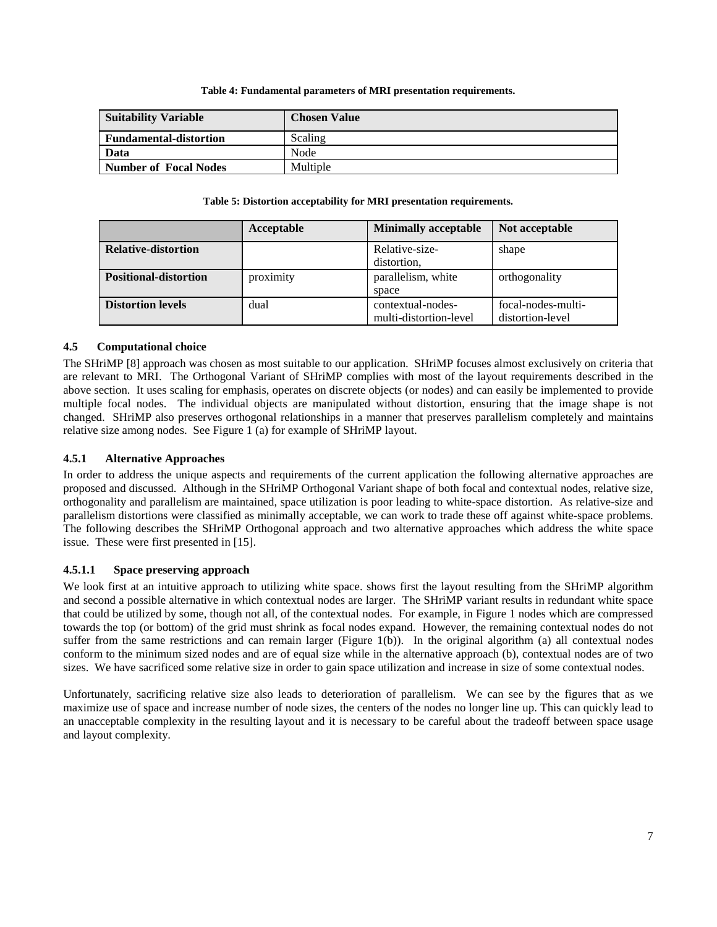#### **Table 4: Fundamental parameters of MRI presentation requirements.**

| <b>Suitability Variable</b>   | <b>Chosen Value</b> |
|-------------------------------|---------------------|
| <b>Fundamental-distortion</b> | <b>Scaling</b>      |
| Data                          | Node                |
| <b>Number of Focal Nodes</b>  | Multiple            |

#### **Table 5: Distortion acceptability for MRI presentation requirements.**

|                              | Acceptable | <b>Minimally acceptable</b>                 | Not acceptable                         |
|------------------------------|------------|---------------------------------------------|----------------------------------------|
| Relative-distortion          |            | Relative-size-<br>distortion.               | shape                                  |
| <b>Positional-distortion</b> | proximity  | parallelism, white<br>space                 | orthogonality                          |
| <b>Distortion levels</b>     | dual       | contextual-nodes-<br>multi-distortion-level | focal-nodes-multi-<br>distortion-level |

# **4.5 Computational choice**

The SHriMP [8] approach was chosen as most suitable to our application. SHriMP focuses almost exclusively on criteria that are relevant to MRI. The Orthogonal Variant of SHriMP complies with most of the layout requirements described in the above section. It uses scaling for emphasis, operates on discrete objects (or nodes) and can easily be implemented to provide multiple focal nodes. The individual objects are manipulated without distortion, ensuring that the image shape is not changed. SHriMP also preserves orthogonal relationships in a manner that preserves parallelism completely and maintains relative size among nodes. See Figure 1 (a) for example of SHriMP layout.

### **4.5.1 Alternative Approaches**

In order to address the unique aspects and requirements of the current application the following alternative approaches are proposed and discussed. Although in the SHriMP Orthogonal Variant shape of both focal and contextual nodes, relative size, orthogonality and parallelism are maintained, space utilization is poor leading to white-space distortion. As relative-size and parallelism distortions were classified as minimally acceptable, we can work to trade these off against white-space problems. The following describes the SHriMP Orthogonal approach and two alternative approaches which address the white space issue. These were first presented in [15].

# **4.5.1.1 Space preserving approach**

We look first at an intuitive approach to utilizing white space. shows first the layout resulting from the SHriMP algorithm and second a possible alternative in which contextual nodes are larger. The SHriMP variant results in redundant white space that could be utilized by some, though not all, of the contextual nodes. For example, in Figure 1 nodes which are compressed towards the top (or bottom) of the grid must shrink as focal nodes expand. However, the remaining contextual nodes do not suffer from the same restrictions and can remain larger (Figure 1(b)). In the original algorithm (a) all contextual nodes conform to the minimum sized nodes and are of equal size while in the alternative approach (b), contextual nodes are of two sizes. We have sacrificed some relative size in order to gain space utilization and increase in size of some contextual nodes.

Unfortunately, sacrificing relative size also leads to deterioration of parallelism. We can see by the figures that as we maximize use of space and increase number of node sizes, the centers of the nodes no longer line up. This can quickly lead to an unacceptable complexity in the resulting layout and it is necessary to be careful about the tradeoff between space usage and layout complexity.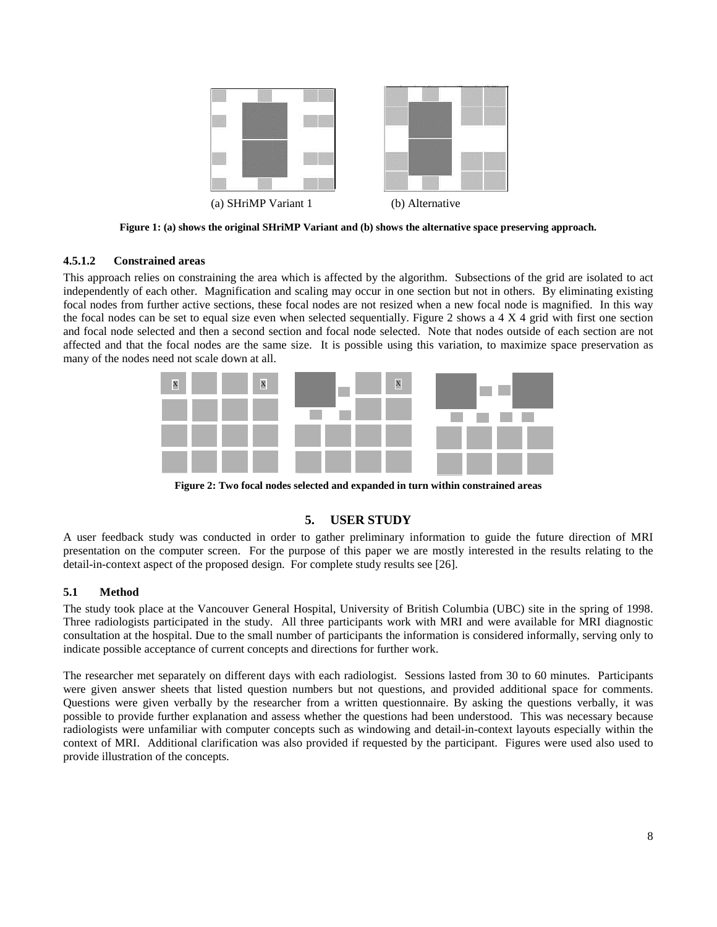

**Figure 1: (a) shows the original SHriMP Variant and (b) shows the alternative space preserving approach.**

# **4.5.1.2 Constrained areas**

This approach relies on constraining the area which is affected by the algorithm. Subsections of the grid are isolated to act independently of each other. Magnification and scaling may occur in one section but not in others. By eliminating existing focal nodes from further active sections, these focal nodes are not resized when a new focal node is magnified. In this way the focal nodes can be set to equal size even when selected sequentially. Figure 2 shows a  $4 \times 4$  grid with first one section and focal node selected and then a second section and focal node selected. Note that nodes outside of each section are not affected and that the focal nodes are the same size. It is possible using this variation, to maximize space preservation as many of the nodes need not scale down at all.



**Figure 2: Two focal nodes selected and expanded in turn within constrained areas**

# **5. USER STUDY**

A user feedback study was conducted in order to gather preliminary information to guide the future direction of MRI presentation on the computer screen. For the purpose of this paper we are mostly interested in the results relating to the detail-in-context aspect of the proposed design. For complete study results see [26].

# **5.1 Method**

The study took place at the Vancouver General Hospital, University of British Columbia (UBC) site in the spring of 1998. Three radiologists participated in the study. All three participants work with MRI and were available for MRI diagnostic consultation at the hospital. Due to the small number of participants the information is considered informally, serving only to indicate possible acceptance of current concepts and directions for further work.

The researcher met separately on different days with each radiologist. Sessions lasted from 30 to 60 minutes. Participants were given answer sheets that listed question numbers but not questions, and provided additional space for comments. Questions were given verbally by the researcher from a written questionnaire. By asking the questions verbally, it was possible to provide further explanation and assess whether the questions had been understood. This was necessary because radiologists were unfamiliar with computer concepts such as windowing and detail-in-context layouts especially within the context of MRI. Additional clarification was also provided if requested by the participant. Figures were used also used to provide illustration of the concepts.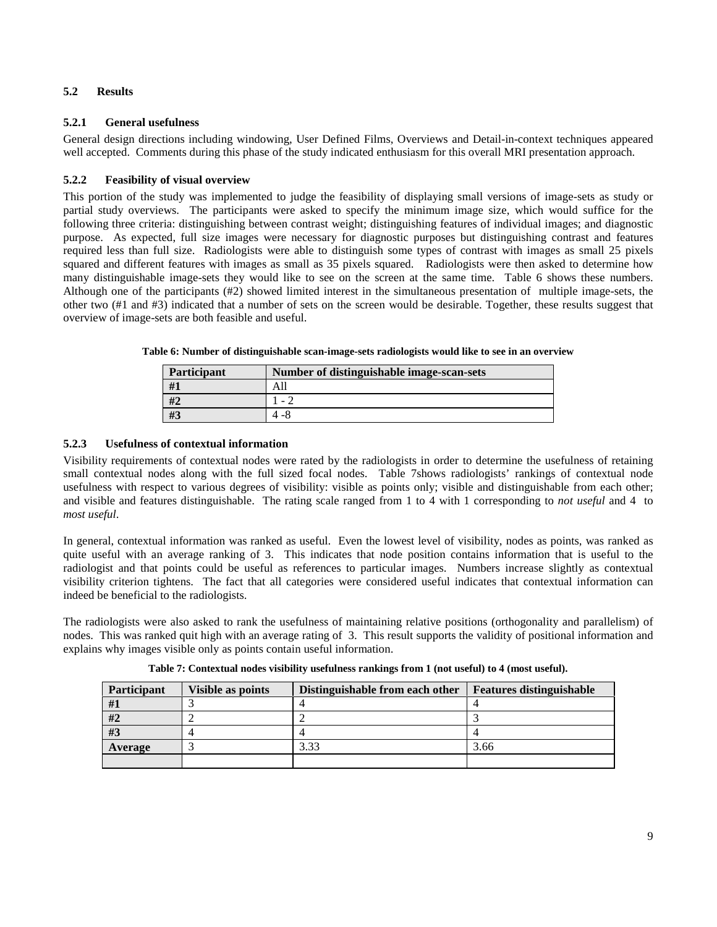# **5.2 Results**

# **5.2.1 General usefulness**

General design directions including windowing, User Defined Films, Overviews and Detail-in-context techniques appeared well accepted. Comments during this phase of the study indicated enthusiasm for this overall MRI presentation approach.

# **5.2.2 Feasibility of visual overview**

This portion of the study was implemented to judge the feasibility of displaying small versions of image-sets as study or partial study overviews. The participants were asked to specify the minimum image size, which would suffice for the following three criteria: distinguishing between contrast weight; distinguishing features of individual images; and diagnostic purpose. As expected, full size images were necessary for diagnostic purposes but distinguishing contrast and features required less than full size. Radiologists were able to distinguish some types of contrast with images as small 25 pixels squared and different features with images as small as 35 pixels squared. Radiologists were then asked to determine how many distinguishable image-sets they would like to see on the screen at the same time. Table 6 shows these numbers. Although one of the participants (#2) showed limited interest in the simultaneous presentation of multiple image-sets, the other two (#1 and #3) indicated that a number of sets on the screen would be desirable. Together, these results suggest that overview of image-sets are both feasible and useful.

| Participant | Number of distinguishable image-scan-sets |  |
|-------------|-------------------------------------------|--|
| #1          | ΑH                                        |  |
| #2          |                                           |  |
| #3          |                                           |  |

**Table 6: Number of distinguishable scan-image-sets radiologists would like to see in an overview**

# **5.2.3 Usefulness of contextual information**

Visibility requirements of contextual nodes were rated by the radiologists in order to determine the usefulness of retaining small contextual nodes along with the full sized focal nodes. Table 7shows radiologists' rankings of contextual node usefulness with respect to various degrees of visibility: visible as points only; visible and distinguishable from each other; and visible and features distinguishable. The rating scale ranged from 1 to 4 with 1 corresponding to *not useful* and 4 to *most useful*.

In general, contextual information was ranked as useful. Even the lowest level of visibility, nodes as points, was ranked as quite useful with an average ranking of 3. This indicates that node position contains information that is useful to the radiologist and that points could be useful as references to particular images. Numbers increase slightly as contextual visibility criterion tightens. The fact that all categories were considered useful indicates that contextual information can indeed be beneficial to the radiologists.

The radiologists were also asked to rank the usefulness of maintaining relative positions (orthogonality and parallelism) of nodes. This was ranked quit high with an average rating of 3. This result supports the validity of positional information and explains why images visible only as points contain useful information.

| Participant | Visible as points | Distinguishable from each other | <b>Features distinguishable</b> |
|-------------|-------------------|---------------------------------|---------------------------------|
| #1          |                   |                                 |                                 |
| #2          |                   |                                 |                                 |
| #3          |                   |                                 |                                 |
| Average     |                   | 3.33                            | 3.66                            |
|             |                   |                                 |                                 |

**Table 7: Contextual nodes visibility usefulness rankings from 1 (not useful) to 4 (most useful).**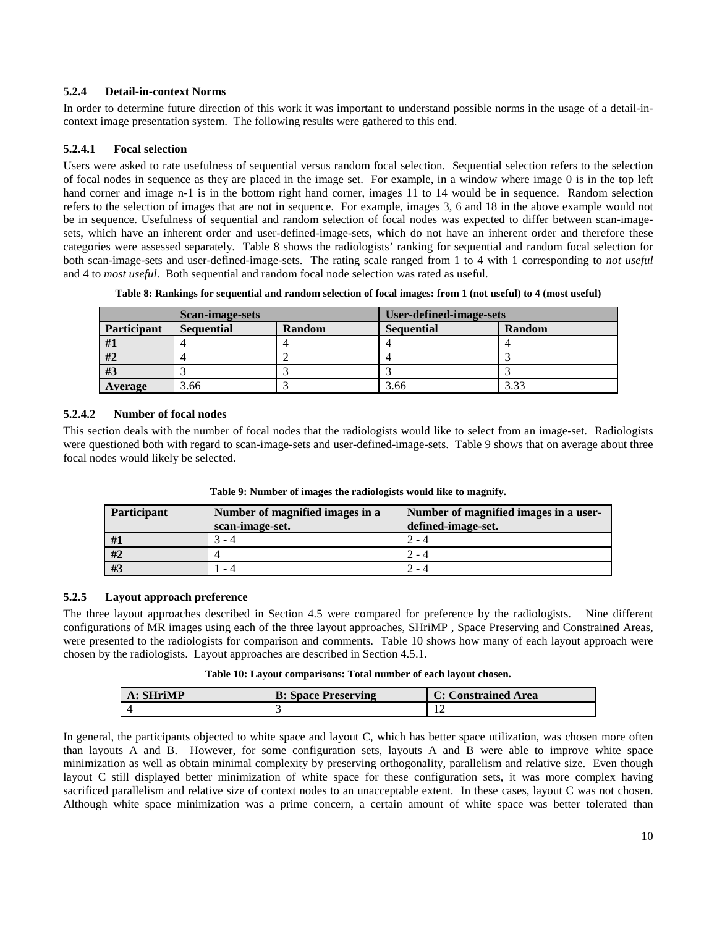### **5.2.4 Detail-in-context Norms**

In order to determine future direction of this work it was important to understand possible norms in the usage of a detail-incontext image presentation system. The following results were gathered to this end.

### **5.2.4.1 Focal selection**

Users were asked to rate usefulness of sequential versus random focal selection. Sequential selection refers to the selection of focal nodes in sequence as they are placed in the image set. For example, in a window where image 0 is in the top left hand corner and image n-1 is in the bottom right hand corner, images 11 to 14 would be in sequence. Random selection refers to the selection of images that are not in sequence. For example, images 3, 6 and 18 in the above example would not be in sequence. Usefulness of sequential and random selection of focal nodes was expected to differ between scan-imagesets, which have an inherent order and user-defined-image-sets, which do not have an inherent order and therefore these categories were assessed separately. Table 8 shows the radiologists' ranking for sequential and random focal selection for both scan-image-sets and user-defined-image-sets. The rating scale ranged from 1 to 4 with 1 corresponding to *not useful* and 4 to *most useful*. Both sequential and random focal node selection was rated as useful.

**Table 8: Rankings for sequential and random selection of focal images: from 1 (not useful) to 4 (most useful)**

|             | <b>Scan-image-sets</b> |               | User-defined-image-sets |        |
|-------------|------------------------|---------------|-------------------------|--------|
| Participant | <b>Sequential</b>      | <b>Random</b> | <b>Sequential</b>       | Random |
| #1          |                        |               |                         |        |
| #2          |                        |               |                         |        |
| #3          |                        |               |                         |        |
| Average     | 3.66                   |               | 3.66                    | 3.33   |

# **5.2.4.2 Number of focal nodes**

This section deals with the number of focal nodes that the radiologists would like to select from an image-set. Radiologists were questioned both with regard to scan-image-sets and user-defined-image-sets. Table 9 shows that on average about three focal nodes would likely be selected.

| Participant | Number of magnified images in a<br>scan-image-set. | Number of magnified images in a user-<br>defined-image-set. |
|-------------|----------------------------------------------------|-------------------------------------------------------------|
| #1          |                                                    | 2 – 4                                                       |
| #2          |                                                    | $2 - 4$                                                     |
| #3          |                                                    |                                                             |

**Table 9: Number of images the radiologists would like to magnify.**

### **5.2.5 Layout approach preference**

The three layout approaches described in Section 4.5 were compared for preference by the radiologists. Nine different configurations of MR images using each of the three layout approaches, SHriMP , Space Preserving and Constrained Areas, were presented to the radiologists for comparison and comments. Table 10 shows how many of each layout approach were chosen by the radiologists. Layout approaches are described in Section 4.5.1.

**Table 10: Layout comparisons: Total number of each layout chosen.**

| $\sim$ $\sim$ $\sim$ $\sim$<br>A: | <b>B: Space Preserving</b> | $\sim$<br><b>Constrained Area</b><br><b>U: C</b> |
|-----------------------------------|----------------------------|--------------------------------------------------|
|                                   |                            | $\sim$<br>. .                                    |

In general, the participants objected to white space and layout C, which has better space utilization, was chosen more often than layouts A and B. However, for some configuration sets, layouts A and B were able to improve white space minimization as well as obtain minimal complexity by preserving orthogonality, parallelism and relative size. Even though layout C still displayed better minimization of white space for these configuration sets, it was more complex having sacrificed parallelism and relative size of context nodes to an unacceptable extent. In these cases, layout C was not chosen. Although white space minimization was a prime concern, a certain amount of white space was better tolerated than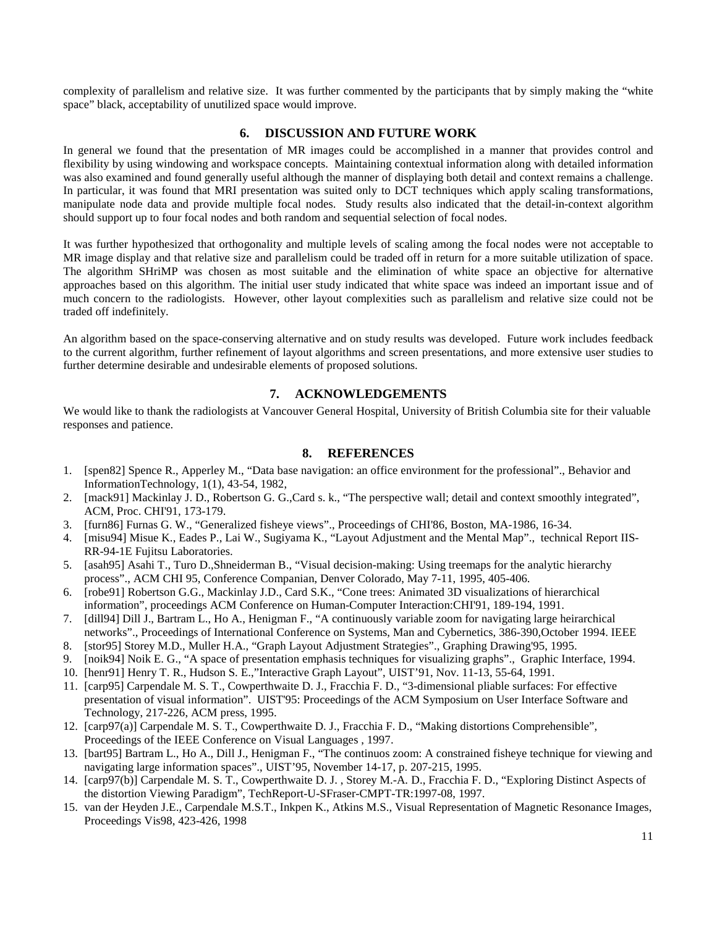complexity of parallelism and relative size. It was further commented by the participants that by simply making the "white space" black, acceptability of unutilized space would improve.

# **6. DISCUSSION AND FUTURE WORK**

In general we found that the presentation of MR images could be accomplished in a manner that provides control and flexibility by using windowing and workspace concepts. Maintaining contextual information along with detailed information was also examined and found generally useful although the manner of displaying both detail and context remains a challenge. In particular, it was found that MRI presentation was suited only to DCT techniques which apply scaling transformations, manipulate node data and provide multiple focal nodes. Study results also indicated that the detail-in-context algorithm should support up to four focal nodes and both random and sequential selection of focal nodes.

It was further hypothesized that orthogonality and multiple levels of scaling among the focal nodes were not acceptable to MR image display and that relative size and parallelism could be traded off in return for a more suitable utilization of space. The algorithm SHriMP was chosen as most suitable and the elimination of white space an objective for alternative approaches based on this algorithm. The initial user study indicated that white space was indeed an important issue and of much concern to the radiologists. However, other layout complexities such as parallelism and relative size could not be traded off indefinitely.

An algorithm based on the space-conserving alternative and on study results was developed. Future work includes feedback to the current algorithm, further refinement of layout algorithms and screen presentations, and more extensive user studies to further determine desirable and undesirable elements of proposed solutions.

### **7. ACKNOWLEDGEMENTS**

We would like to thank the radiologists at Vancouver General Hospital, University of British Columbia site for their valuable responses and patience.

### **8. REFERENCES**

- 1. [spen82] Spence R., Apperley M., "Data base navigation: an office environment for the professional"., Behavior and InformationTechnology, 1(1), 43-54, 1982,
- 2. [mack91] Mackinlay J. D., Robertson G. G.,Card s. k., "The perspective wall; detail and context smoothly integrated", ACM, Proc. CHI'91, 173-179.
- 3. [furn86] Furnas G. W., "Generalized fisheye views"., Proceedings of CHI'86, Boston, MA-1986, 16-34.
- 4. [misu94] Misue K., Eades P., Lai W., Sugiyama K., "Layout Adjustment and the Mental Map"., technical Report IIS-RR-94-1E Fujitsu Laboratories.
- 5. [asah95] Asahi T., Turo D.,Shneiderman B., "Visual decision-making: Using treemaps for the analytic hierarchy process"., ACM CHI 95, Conference Companian, Denver Colorado, May 7-11, 1995, 405-406.
- 6. [robe91] Robertson G.G., Mackinlay J.D., Card S.K., "Cone trees: Animated 3D visualizations of hierarchical information", proceedings ACM Conference on Human-Computer Interaction:CHI'91, 189-194, 1991.
- 7. [dill94] Dill J., Bartram L., Ho A., Henigman F., "A continuously variable zoom for navigating large heirarchical networks"., Proceedings of International Conference on Systems, Man and Cybernetics, 386-390,October 1994. IEEE
- 8. [stor95] Storey M.D., Muller H.A., "Graph Layout Adjustment Strategies"., Graphing Drawing'95, 1995.
- 9. [noik94] Noik E. G., "A space of presentation emphasis techniques for visualizing graphs"., Graphic Interface, 1994.
- 10. [henr91] Henry T. R., Hudson S. E.,"Interactive Graph Layout", UIST'91, Nov. 11-13, 55-64, 1991.
- 11. [carp95] Carpendale M. S. T., Cowperthwaite D. J., Fracchia F. D., "3-dimensional pliable surfaces: For effective presentation of visual information". UIST'95: Proceedings of the ACM Symposium on User Interface Software and Technology, 217-226, ACM press, 1995.
- 12. [carp97(a)] Carpendale M. S. T., Cowperthwaite D. J., Fracchia F. D., "Making distortions Comprehensible", Proceedings of the IEEE Conference on Visual Languages , 1997.
- 13. [bart95] Bartram L., Ho A., Dill J., Henigman F., "The continuos zoom: A constrained fisheye technique for viewing and navigating large information spaces"., UIST'95, November 14-17, p. 207-215, 1995.
- 14. [carp97(b)] Carpendale M. S. T., Cowperthwaite D. J. , Storey M.-A. D., Fracchia F. D., "Exploring Distinct Aspects of the distortion Viewing Paradigm", TechReport-U-SFraser-CMPT-TR:1997-08, 1997.
- 15. van der Heyden J.E., Carpendale M.S.T., Inkpen K., Atkins M.S., Visual Representation of Magnetic Resonance Images, Proceedings Vis98, 423-426, 1998